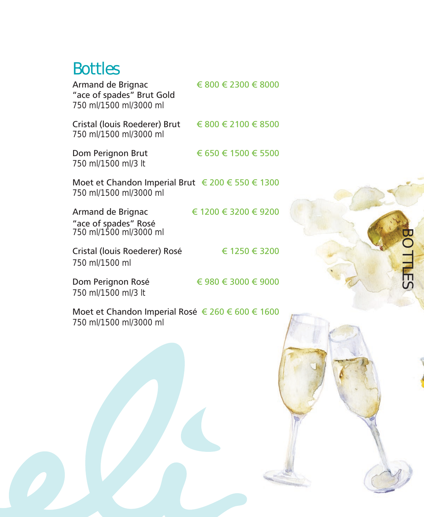## Bottles

| Armand de Brignac<br>"ace of spades" Brut Gold<br>750 ml/1500 ml/3000 ml   | € 800 € 2300 € 8000         |
|----------------------------------------------------------------------------|-----------------------------|
| Cristal (louis Roederer) Brut<br>750 ml/1500 ml/3000 ml                    | $\in 800 \in 2100 \in 8500$ |
| Dom Perignon Brut<br>750 ml/1500 ml/3 lt                                   | € 650 € 1500 € 5500         |
| Moet et Chandon Imperial Brut € 200 € 550 € 1300<br>750 ml/1500 ml/3000 ml |                             |
| Armand de Brignac<br>"ace of spades" Rosé<br>750 ml/1500 ml/3000 ml        | € 1200 € 3200 € 9200        |
| Cristal (Iouis Roederer) Rosé<br>750 ml/1500 ml                            | € 1250 € 3200               |
| Dom Perignon Rosé                                                          | € 980 € 3000 € 9000         |

BOTTLES

**BOTTLES** 

*750 ml/1500 ml/3 lt*

Moet et Chandon Imperial Rosé € 260 € 600 € 1600

*750 ml/1500 ml/3000 ml*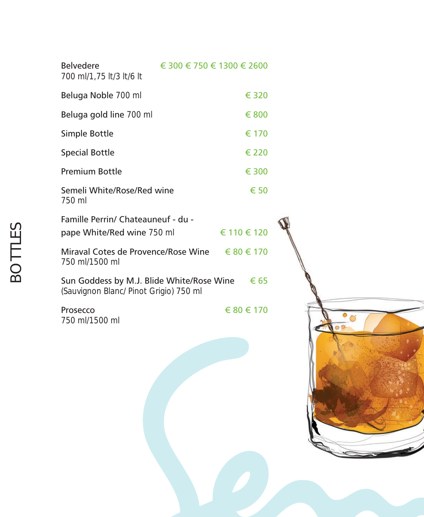| <b>Belvedere</b><br>700 ml/1,75 lt/3 lt/6 lt                     | € 300 € 750 € 1300 € 2600 |             |
|------------------------------------------------------------------|---------------------------|-------------|
| Beluga Noble 700 ml                                              |                           | € 320       |
| Beluga gold line 700 ml                                          |                           | € 800       |
| Simple Bottle                                                    |                           | € 170       |
| <b>Special Bottle</b>                                            |                           | € 220       |
| <b>Premium Bottle</b>                                            |                           | € 300       |
| Semeli White/Rose/Red wine<br>750 ml                             |                           | € 50        |
| Famille Perrin/ Chateauneuf - du -<br>pape White/Red wine 750 ml |                           | € 110 € 120 |
| Miraval Cotes de Provence/Rose Wine<br>750 ml/1500 ml            |                           | € 80 € 170  |

Sun Goddess by M.J. Blide White/Rose Wine  $€ 65$ *(Sauvignon Blanc/ Pinot Grigio) 750 ml*

*750 ml/1500 ml*

Prosecco  $680 \in 170$ 



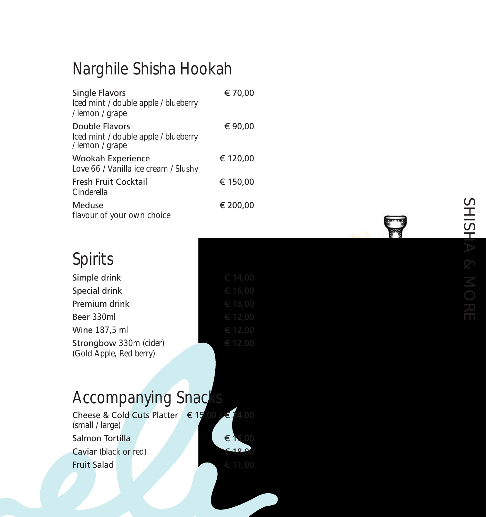## Narghile Shisha Hookah

| <b>Single Flavors</b><br>Iced mint / double apple / blueberry<br>/ lemon / grape | € 70,00  |
|----------------------------------------------------------------------------------|----------|
| <b>Double Flavors</b><br>Iced mint / double apple / blueberry<br>/ lemon / grape | € 90,00  |
| <b>Wookah Experience</b><br>Love 66 / Vanilla ice cream / Slushy                 | € 120,00 |
| <b>Fresh Fruit Cocktail</b><br>Cinderella                                        | € 150,00 |
| <b>Meduse</b><br>flavour of your own choice                                      | € 200,00 |

## Spirits

| Simple drink                                      | € 14,00 |
|---------------------------------------------------|---------|
| Special drink                                     | € 16,00 |
| Premium drink                                     | € 18,00 |
| Beer 330ml                                        | € 12,00 |
| Wine 187,5 ml                                     | € 12,00 |
| Strongbow 330m (cider)<br>(Gold Apple, Red berry) | € 12,00 |

## Accompanying Snacks

| Cheese & Cold Cuts Platter $\in$ 15,00 / $\in$ 24,00<br>(small / large) |  |  |  |         |
|-------------------------------------------------------------------------|--|--|--|---------|
| Salmon Tortilla                                                         |  |  |  | € 15,00 |
| Caviar (black or red)                                                   |  |  |  | € 18,00 |
| <b>Fruit Salad</b>                                                      |  |  |  | € 11,00 |